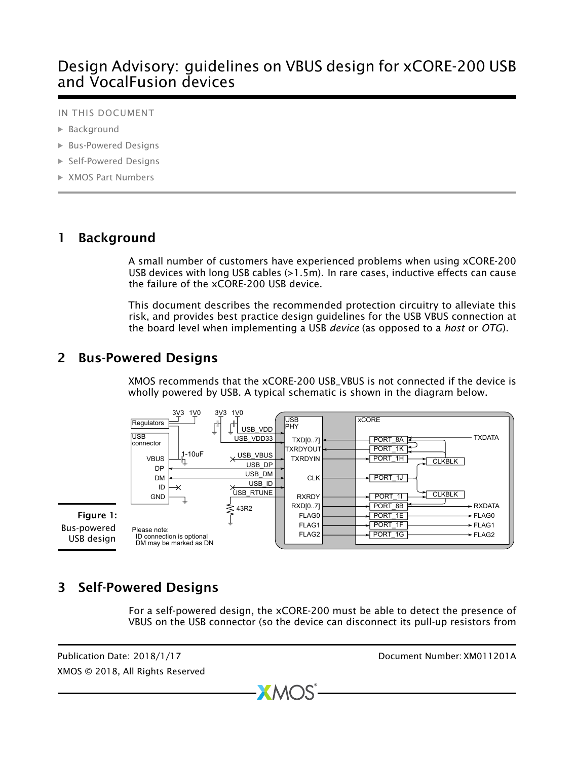# Design Advisory: guidelines on VBUS design for xCORE-200 USB and VocalFusion devices

#### IN THIS DOCUMENT

- · [Background](#page-0-0)
- · [Bus-Powered Designs](#page-0-1)
- · [Self-Powered Designs](#page-0-2)
- · [XMOS Part Numbers](#page-1-0)

### 1 Background

<span id="page-0-0"></span>A small number of customers have experienced problems when using xCORE-200 USB devices with long USB cables (>1.5m). In rare cases, inductive effects can cause the failure of the xCORE-200 USB device.

This document describes the recommended protection circuitry to alleviate this risk, and provides best practice design guidelines for the USB VBUS connection at the board level when implementing a USB *device* (as opposed to a *host* or *OTG*).

## 2 Bus-Powered Designs

<span id="page-0-1"></span>XMOS recommends that the xCORE-200 USB\_VBUS is not connected if the device is wholly powered by USB. A typical schematic is shown in the diagram below.



# 3 Self-Powered Designs

<span id="page-0-2"></span>For a self-powered design, the xCORE-200 must be able to detect the presence of VBUS on the USB connector (so the device can disconnect its pull-up resistors from

 $XMOS$ 

XMOS © 2018, All Rights Reserved

Publication Date: 2018/1/17 Document Number: XM011201A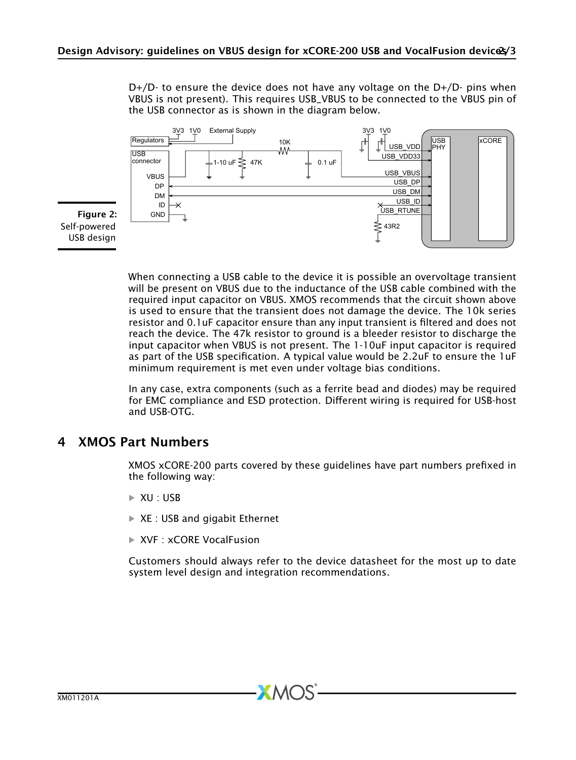$D+/D$ - to ensure the device does not have any voltage on the  $D+/D$ - pins when VBUS is not present). This requires USB\_VBUS to be connected to the VBUS pin of the USB connector as is shown in the diagram below.



Figure 2: Self-powered USB design

> When connecting a USB cable to the device it is possible an overvoltage transient will be present on VBUS due to the inductance of the USB cable combined with the required input capacitor on VBUS. XMOS recommends that the circuit shown above is used to ensure that the transient does not damage the device. The 10k series resistor and 0.1uF capacitor ensure than any input transient is filtered and does not reach the device. The 47k resistor to ground is a bleeder resistor to discharge the input capacitor when VBUS is not present. The 1-10uF input capacitor is required as part of the USB specification. A typical value would be 2.2uF to ensure the 1uF minimum requirement is met even under voltage bias conditions.

> <span id="page-1-0"></span>In any case, extra components (such as a ferrite bead and diodes) may be required for EMC compliance and ESD protection. Different wiring is required for USB-host and USB-OTG.

### 4 XMOS Part Numbers

XMOS xCORE-200 parts covered by these guidelines have part numbers prefixed in the following way:

- $\triangleright$  XU : USB
- $\triangleright$  XE : USB and gigabit Ethernet
- $\triangleright$  XVF : xCORF VocalFusion

Customers should always refer to the device datasheet for the most up to date system level design and integration recommendations.

**XMOS**